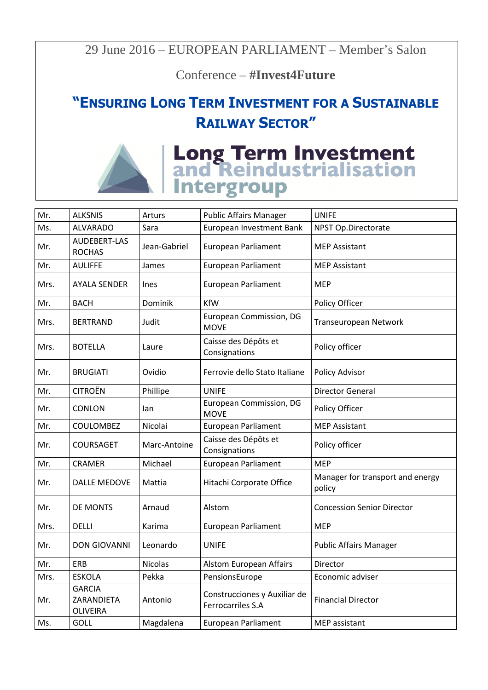29 June 2016 – EUROPEAN PARLIAMENT – Member's Salon

Conference – **#Invest4Future** 

## **"ENSURING LONG TERM INVESTMENT FOR A SUSTAINABLE RAILWAY SECTOR"**



| Mr.  | <b>ALKSNIS</b>                                 | Arturs         | <b>Public Affairs Manager</b>                     | <b>UNIFE</b>                               |
|------|------------------------------------------------|----------------|---------------------------------------------------|--------------------------------------------|
| Ms.  | <b>ALVARADO</b>                                | Sara           | European Investment Bank                          | NPST Op.Directorate                        |
| Mr.  | AUDEBERT-LAS<br><b>ROCHAS</b>                  | Jean-Gabriel   | <b>European Parliament</b>                        | <b>MEP Assistant</b>                       |
| Mr.  | <b>AULIFFE</b>                                 | James          | <b>European Parliament</b>                        | <b>MEP Assistant</b>                       |
| Mrs. | <b>AYALA SENDER</b>                            | <b>Ines</b>    | <b>European Parliament</b>                        | MEP                                        |
| Mr.  | <b>BACH</b>                                    | Dominik        | <b>KfW</b>                                        | Policy Officer                             |
| Mrs. | <b>BERTRAND</b>                                | Judit          | European Commission, DG<br><b>MOVE</b>            | Transeuropean Network                      |
| Mrs. | <b>BOTELLA</b>                                 | Laure          | Caisse des Dépôts et<br>Consignations             | Policy officer                             |
| Mr.  | <b>BRUGIATI</b>                                | Ovidio         | Ferrovie dello Stato Italiane                     | Policy Advisor                             |
| Mr.  | <b>CITROËN</b>                                 | Phillipe       | <b>UNIFE</b>                                      | <b>Director General</b>                    |
| Mr.  | CONLON                                         | lan            | European Commission, DG<br><b>MOVE</b>            | Policy Officer                             |
| Mr.  | <b>COULOMBEZ</b>                               | Nicolai        | <b>European Parliament</b>                        | <b>MEP Assistant</b>                       |
| Mr.  | COURSAGET                                      | Marc-Antoine   | Caisse des Dépôts et<br>Consignations             | Policy officer                             |
| Mr.  | <b>CRAMER</b>                                  | Michael        | <b>European Parliament</b>                        | <b>MEP</b>                                 |
| Mr.  | DALLE MEDOVE                                   | Mattia         | Hitachi Corporate Office                          | Manager for transport and energy<br>policy |
| Mr.  | DE MONTS                                       | Arnaud         | Alstom                                            | <b>Concession Senior Director</b>          |
| Mrs. | <b>DELLI</b>                                   | Karima         | <b>European Parliament</b>                        | <b>MEP</b>                                 |
| Mr.  | <b>DON GIOVANNI</b>                            | Leonardo       | <b>UNIFE</b>                                      | <b>Public Affairs Manager</b>              |
| Mr.  | ERB                                            | <b>Nicolas</b> | Alstom European Affairs                           | Director                                   |
| Mrs. | <b>ESKOLA</b>                                  | Pekka          | PensionsEurope                                    | Economic adviser                           |
| Mr.  | <b>GARCIA</b><br>ZARANDIETA<br><b>OLIVEIRA</b> | Antonio        | Construcciones y Auxiliar de<br>Ferrocarriles S.A | <b>Financial Director</b>                  |
| Ms.  | GOLL                                           | Magdalena      | <b>European Parliament</b>                        | <b>MEP</b> assistant                       |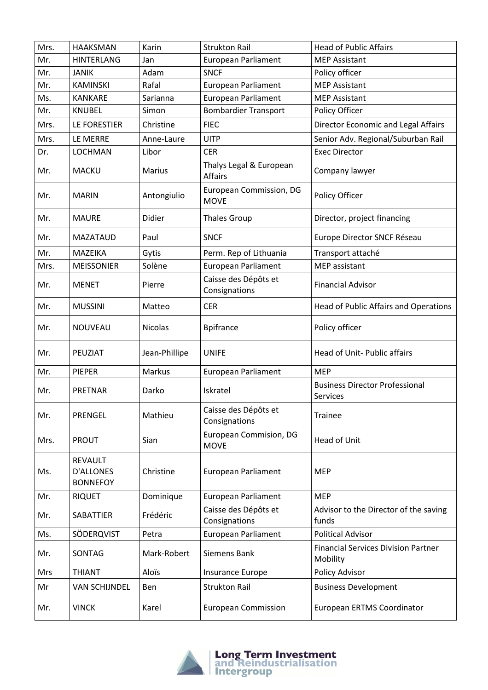| Mrs. | <b>HAAKSMAN</b>                                       | Karin          | <b>Strukton Rail</b>                      | <b>Head of Public Affairs</b>                            |
|------|-------------------------------------------------------|----------------|-------------------------------------------|----------------------------------------------------------|
| Mr.  | <b>HINTERLANG</b>                                     | Jan            | European Parliament                       | <b>MEP Assistant</b>                                     |
| Mr.  | <b>JANIK</b>                                          | Adam           | <b>SNCF</b>                               | Policy officer                                           |
| Mr.  | <b>KAMINSKI</b>                                       | Rafal          | <b>European Parliament</b>                | <b>MEP Assistant</b>                                     |
| Ms.  | <b>KANKARE</b>                                        | Sarianna       | <b>European Parliament</b>                | <b>MEP Assistant</b>                                     |
| Mr.  | <b>KNUBEL</b>                                         | Simon          | <b>Bombardier Transport</b>               | Policy Officer                                           |
| Mrs. | LE FORESTIER                                          | Christine      | <b>FIEC</b>                               | Director Economic and Legal Affairs                      |
| Mrs. | LE MERRE                                              | Anne-Laure     | <b>UITP</b>                               | Senior Adv. Regional/Suburban Rail                       |
| Dr.  | LOCHMAN                                               | Libor          | <b>CER</b>                                | <b>Exec Director</b>                                     |
| Mr.  | <b>MACKU</b>                                          | Marius         | Thalys Legal & European<br><b>Affairs</b> | Company lawyer                                           |
| Mr.  | <b>MARIN</b>                                          | Antongiulio    | European Commission, DG<br><b>MOVE</b>    | Policy Officer                                           |
| Mr.  | <b>MAURE</b>                                          | Didier         | <b>Thales Group</b>                       | Director, project financing                              |
| Mr.  | <b>MAZATAUD</b>                                       | Paul           | <b>SNCF</b>                               | Europe Director SNCF Réseau                              |
| Mr.  | <b>MAZEIKA</b>                                        | Gytis          | Perm. Rep of Lithuania                    | Transport attaché                                        |
| Mrs. | <b>MEISSONIER</b>                                     | Solène         | <b>European Parliament</b>                | MEP assistant                                            |
| Mr.  | <b>MENET</b>                                          | Pierre         | Caisse des Dépôts et<br>Consignations     | <b>Financial Advisor</b>                                 |
| Mr.  | <b>MUSSINI</b>                                        | Matteo         | <b>CER</b>                                | Head of Public Affairs and Operations                    |
| Mr.  | <b>NOUVEAU</b>                                        | <b>Nicolas</b> | <b>Bpifrance</b>                          | Policy officer                                           |
| Mr.  | PEUZIAT                                               | Jean-Phillipe  | <b>UNIFE</b>                              | <b>Head of Unit- Public affairs</b>                      |
| Mr.  | <b>PIEPER</b>                                         | Markus         | <b>European Parliament</b>                | <b>MEP</b>                                               |
| Mr.  | <b>PRETNAR</b>                                        | Darko          | Iskratel                                  | <b>Business Director Professional</b><br><b>Services</b> |
| Mr.  | <b>PRENGEL</b>                                        | Mathieu        | Caisse des Dépôts et<br>Consignations     | <b>Trainee</b>                                           |
| Mrs. | <b>PROUT</b>                                          | Sian           | European Commision, DG<br><b>MOVE</b>     | <b>Head of Unit</b>                                      |
| Ms.  | <b>REVAULT</b><br><b>D'ALLONES</b><br><b>BONNEFOY</b> | Christine      | <b>European Parliament</b>                | <b>MEP</b>                                               |
| Mr.  | <b>RIQUET</b>                                         | Dominique      | <b>European Parliament</b>                | <b>MEP</b>                                               |
| Mr.  | SABATTIER                                             | Frédéric       | Caisse des Dépôts et<br>Consignations     | Advisor to the Director of the saving<br>funds           |
| Ms.  | SÖDERQVIST                                            | Petra          | European Parliament                       | <b>Political Advisor</b>                                 |
| Mr.  | SONTAG                                                | Mark-Robert    | Siemens Bank                              | <b>Financial Services Division Partner</b><br>Mobility   |
| Mrs  | <b>THIANT</b>                                         | Aloïs          | Insurance Europe                          | Policy Advisor                                           |
| Mr   | <b>VAN SCHIJNDEL</b>                                  | Ben            | <b>Strukton Rail</b>                      | <b>Business Development</b>                              |
| Mr.  | <b>VINCK</b>                                          | Karel          | <b>European Commission</b>                | European ERTMS Coordinator                               |